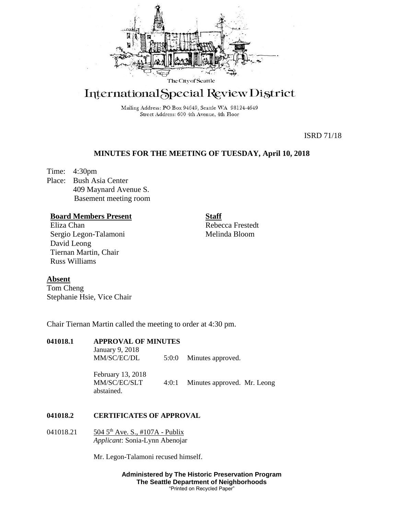

# International Special Review District

Mailing Address: PO Box 94649, Seattle WA 98124-4649 Street Address: 600 4th Avenue, 4th Floor

ISRD 71/18

# **MINUTES FOR THE MEETING OF TUESDAY, April 10, 2018**

Time: 4:30pm Place: Bush Asia Center 409 Maynard Avenue S. Basement meeting room

## **Board Members Present**

Eliza Chan Sergio Legon-Talamoni David Leong Tiernan Martin, Chair Russ Williams

**Staff**

Rebecca Frestedt Melinda Bloom

## **Absent**

Tom Cheng Stephanie Hsie, Vice Chair

Chair Tiernan Martin called the meeting to order at 4:30 pm.

# **041018.1 APPROVAL OF MINUTES**

January 9, 2018

MM/SC/EC/DL 5:0:0 Minutes approved.

February 13, 2018 MM/SC/EC/SLT 4:0:1 Minutes approved. Mr. Leong abstained.

### **041018.2 CERTIFICATES OF APPROVAL**

041018.21 504 5<sup>th</sup> Ave. S., #107A - Publix *Applicant*: Sonia-Lynn Abenojar

Mr. Legon-Talamoni recused himself.

**Administered by The Historic Preservation Program The Seattle Department of Neighborhoods** "Printed on Recycled Paper"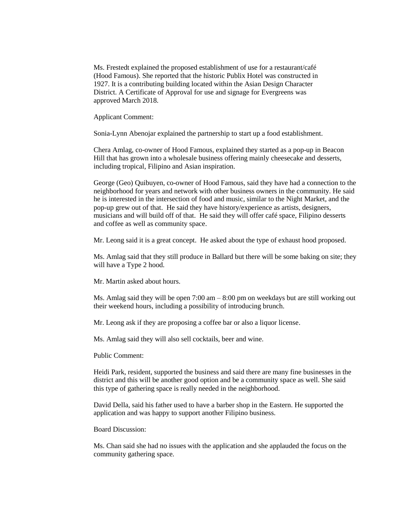Ms. Frestedt explained the proposed establishment of use for a restaurant/café (Hood Famous). She reported that the historic Publix Hotel was constructed in 1927. It is a contributing building located within the Asian Design Character District. A Certificate of Approval for use and signage for Evergreens was approved March 2018.

Applicant Comment:

Sonia-Lynn Abenojar explained the partnership to start up a food establishment.

Chera Amlag, co-owner of Hood Famous, explained they started as a pop-up in Beacon Hill that has grown into a wholesale business offering mainly cheesecake and desserts, including tropical, Filipino and Asian inspiration.

George (Geo) Quibuyen, co-owner of Hood Famous, said they have had a connection to the neighborhood for years and network with other business owners in the community. He said he is interested in the intersection of food and music, similar to the Night Market, and the pop-up grew out of that. He said they have history/experience as artists, designers, musicians and will build off of that. He said they will offer café space, Filipino desserts and coffee as well as community space.

Mr. Leong said it is a great concept. He asked about the type of exhaust hood proposed.

Ms. Amlag said that they still produce in Ballard but there will be some baking on site; they will have a Type 2 hood.

Mr. Martin asked about hours.

Ms. Amlag said they will be open  $7:00 \text{ am} - 8:00 \text{ pm}$  on weekdays but are still working out their weekend hours, including a possibility of introducing brunch.

Mr. Leong ask if they are proposing a coffee bar or also a liquor license.

Ms. Amlag said they will also sell cocktails, beer and wine.

Public Comment:

Heidi Park, resident, supported the business and said there are many fine businesses in the district and this will be another good option and be a community space as well. She said this type of gathering space is really needed in the neighborhood.

David Della, said his father used to have a barber shop in the Eastern. He supported the application and was happy to support another Filipino business.

Board Discussion:

Ms. Chan said she had no issues with the application and she applauded the focus on the community gathering space.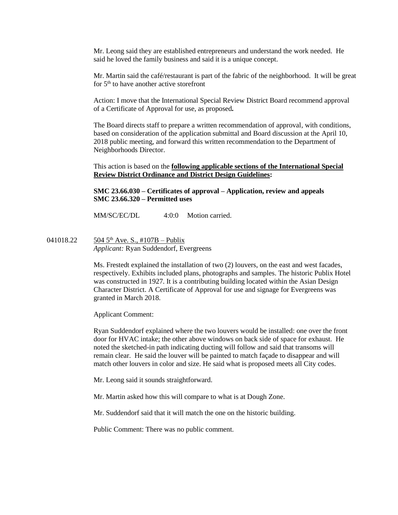Mr. Leong said they are established entrepreneurs and understand the work needed. He said he loved the family business and said it is a unique concept.

Mr. Martin said the café/restaurant is part of the fabric of the neighborhood. It will be great for  $5<sup>th</sup>$  to have another active storefront

Action: I move that the International Special Review District Board recommend approval of a Certificate of Approval for use, as proposed*.*

The Board directs staff to prepare a written recommendation of approval, with conditions, based on consideration of the application submittal and Board discussion at the April 10, 2018 public meeting, and forward this written recommendation to the Department of Neighborhoods Director.

This action is based on the **following applicable sections of the International Special Review District Ordinance and District Design Guidelines:** 

**SMC 23.66.030 – Certificates of approval – Application, review and appeals SMC 23.66.320 – Permitted uses** 

MM/SC/EC/DL 4:0:0 Motion carried.

041018.22  $\frac{504 \, 5^{th} \text{ Ave. S}}{107 \text{ B}}$  – Publix *Applicant:* Ryan Suddendorf, Evergreens

> Ms. Frestedt explained the installation of two (2) louvers, on the east and west facades, respectively. Exhibits included plans, photographs and samples. The historic Publix Hotel was constructed in 1927. It is a contributing building located within the Asian Design Character District. A Certificate of Approval for use and signage for Evergreens was granted in March 2018.

Applicant Comment:

Ryan Suddendorf explained where the two louvers would be installed: one over the front door for HVAC intake; the other above windows on back side of space for exhaust. He noted the sketched-in path indicating ducting will follow and said that transoms will remain clear. He said the louver will be painted to match façade to disappear and will match other louvers in color and size. He said what is proposed meets all City codes.

Mr. Leong said it sounds straightforward.

Mr. Martin asked how this will compare to what is at Dough Zone.

Mr. Suddendorf said that it will match the one on the historic building.

Public Comment: There was no public comment.